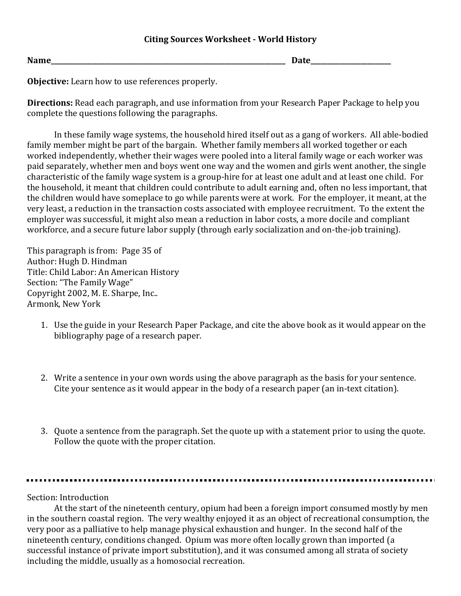**Date\_\_\_\_\_\_\_\_\_\_\_\_\_\_\_\_\_\_\_\_\_\_\_\_\_\_** 

**Objective:** Learn how to use references properly.

**Directions:** Read each paragraph, and use information from your Research Paper Package to help you complete the questions following the paragraphs.

In these family wage systems, the household hired itself out as a gang of workers. All able-bodied family member might be part of the bargain. Whether family members all worked together or each worked independently, whether their wages were pooled into a literal family wage or each worker was paid separately, whether men and boys went one way and the women and girls went another, the single characteristic of the family wage system is a group-hire for at least one adult and at least one child. For the household, it meant that children could contribute to adult earning and, often no less important, that the children would have someplace to go while parents were at work. For the employer, it meant, at the very least, a reduction in the transaction costs associated with employee recruitment. To the extent the employer was successful, it might also mean a reduction in labor costs, a more docile and compliant workforce, and a secure future labor supply (through early socialization and on-the-job training).

This paragraph is from: Page 35 of Author: Hugh D. Hindman Title: Child Labor: An American History Section: "The Family Wage" Copyright 2002, M. E. Sharpe, Inc.. Armonk, New York

- 1. Use the guide in your Research Paper Package, and cite the above book as it would appear on the bibliography page of a research paper.
- 2. Write a sentence in your own words using the above paragraph as the basis for your sentence. Cite your sentence as it would appear in the body of a research paper (an in-text citation).
- 3. Quote a sentence from the paragraph. Set the quote up with a statement prior to using the quote. Follow the quote with the proper citation.

Section: Introduction

At the start of the nineteenth century, opium had been a foreign import consumed mostly by men in the southern coastal region. The very wealthy enjoyed it as an object of recreational consumption, the very poor as a palliative to help manage physical exhaustion and hunger. In the second half of the nineteenth century, conditions changed. Opium was more often locally grown than imported (a successful instance of private import substitution), and it was consumed among all strata of society including the middle, usually as a homosocial recreation.